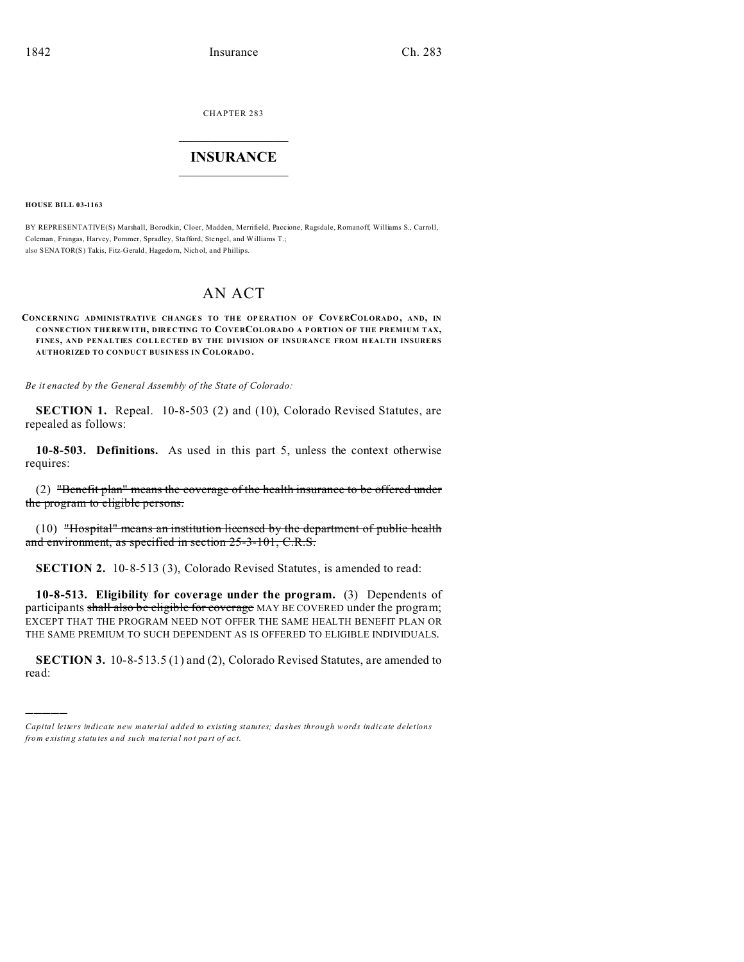CHAPTER 283  $\overline{\phantom{a}}$  , where  $\overline{\phantom{a}}$ 

## **INSURANCE**  $\_$   $\_$   $\_$   $\_$   $\_$   $\_$   $\_$   $\_$

**HOUSE BILL 03-1163**

)))))

BY REPRESENTATIVE(S) Marshall, Borodkin, Cloer, Madden, Merrifield, Paccione, Ragsdale, Romanoff, Williams S., Carroll, Coleman, Frangas, Harvey, Pommer, Spradley, Stafford, Stengel, and Williams T.; also SENATOR(S) Takis, Fitz-Gerald, Hagedorn, Nich ol, and Phillips.

## AN ACT

## **CONCERNING ADMINISTRATIVE CH ANGE S TO THE OP ERATIO N OF COVERCOLORADO, AND, IN CONNECTION THEREW ITH, DIRECTING TO COVERCOLORADO A P ORTION OF THE PREMIUM TAX,** FINES, AND PENALTIES COLLECTED BY THE DIVISION OF INSURANCE FROM HEALTH INSURERS **AUTHORIZED TO CONDUCT BUSINESS IN COLORADO.**

*Be it enacted by the General Assembly of the State of Colorado:*

**SECTION 1.** Repeal. 10-8-503 (2) and (10), Colorado Revised Statutes, are repealed as follows:

**10-8-503. Definitions.** As used in this part 5, unless the context otherwise requires:

(2) "Benefit plan" means the coverage of the health insurance to be offered under the program to eligible persons.

(10) "Hospital" means an institution licensed by the department of public health and environment, as specified in section 25-3-101, C.R.S.

**SECTION 2.** 10-8-513 (3), Colorado Revised Statutes, is amended to read:

**10-8-513. Eligibility for coverage under the program.** (3) Dependents of participants shall also be eligible for coverage MAY BE COVERED under the program; EXCEPT THAT THE PROGRAM NEED NOT OFFER THE SAME HEALTH BENEFIT PLAN OR THE SAME PREMIUM TO SUCH DEPENDENT AS IS OFFERED TO ELIGIBLE INDIVIDUALS.

**SECTION 3.** 10-8-513.5 (1) and (2), Colorado Revised Statutes, are amended to read:

*Capital letters indicate new material added to existing statutes; dashes through words indicate deletions from e xistin g statu tes a nd such ma teria l no t pa rt of ac t.*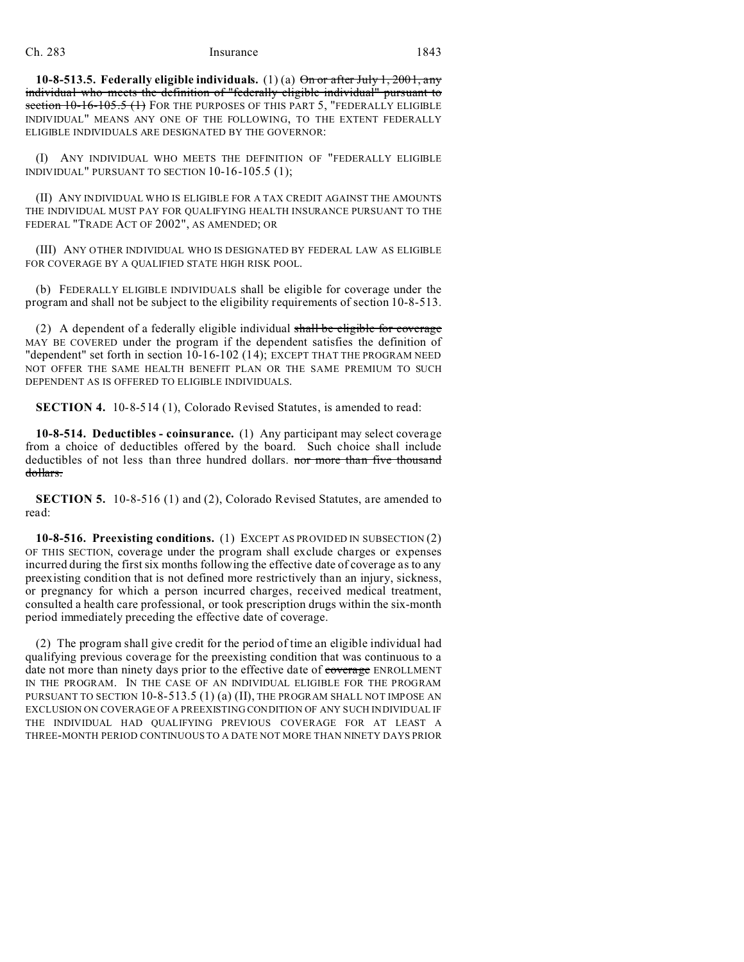**10-8-513.5. Federally eligible individuals.** (1) (a) On or after July 1, 2001, any individual who meets the definition of "federally eligible individual" pursuant to section 10-16-105.5 (1) FOR THE PURPOSES OF THIS PART 5, "FEDERALLY ELIGIBLE INDIVIDUAL" MEANS ANY ONE OF THE FOLLOWING, TO THE EXTENT FEDERALLY ELIGIBLE INDIVIDUALS ARE DESIGNATED BY THE GOVERNOR:

(I) ANY INDIVIDUAL WHO MEETS THE DEFINITION OF "FEDERALLY ELIGIBLE INDIVIDUAL" PURSUANT TO SECTION 10-16-105.5 (1);

(II) ANY INDIVIDUAL WHO IS ELIGIBLE FOR A TAX CREDIT AGAINST THE AMOUNTS THE INDIVIDUAL MUST PAY FOR QUALIFYING HEALTH INSURANCE PURSUANT TO THE FEDERAL "TRADE ACT OF 2002", AS AMENDED; OR

(III) ANY OTHER INDIVIDUAL WHO IS DESIGNATED BY FEDERAL LAW AS ELIGIBLE FOR COVERAGE BY A OUALIFIED STATE HIGH RISK POOL.

(b) FEDERALLY ELIGIBLE INDIVIDUALS shall be eligible for coverage under the program and shall not be subject to the eligibility requirements of section 10-8-513.

(2) A dependent of a federally eligible individual shall be eligible for coverage MAY BE COVERED under the program if the dependent satisfies the definition of "dependent" set forth in section 10-16-102 (14); EXCEPT THAT THE PROGRAM NEED NOT OFFER THE SAME HEALTH BENEFIT PLAN OR THE SAME PREMIUM TO SUCH DEPENDENT AS IS OFFERED TO ELIGIBLE INDIVIDUALS.

**SECTION 4.** 10-8-514 (1), Colorado Revised Statutes, is amended to read:

**10-8-514. Deductibles - coinsurance.** (1) Any participant may select coverage from a choice of deductibles offered by the board. Such choice shall include deductibles of not less than three hundred dollars. nor more than five thousand dollars.

**SECTION 5.** 10-8-516 (1) and (2), Colorado Revised Statutes, are amended to read:

**10-8-516. Preexisting conditions.** (1) EXCEPT AS PROVIDED IN SUBSECTION (2) OF THIS SECTION, coverage under the program shall exclude charges or expenses incurred during the first six months following the effective date of coverage as to any preexisting condition that is not defined more restrictively than an injury, sickness, or pregnancy for which a person incurred charges, received medical treatment, consulted a health care professional, or took prescription drugs within the six-month period immediately preceding the effective date of coverage.

(2) The program shall give credit for the period of time an eligible individual had qualifying previous coverage for the preexisting condition that was continuous to a date not more than ninety days prior to the effective date of coverage ENROLLMENT IN THE PROGRAM. IN THE CASE OF AN INDIVIDUAL ELIGIBLE FOR THE PROGRAM PURSUANT TO SECTION 10-8-513.5 (1) (a) (II), THE PROGRAM SHALL NOT IMPOSE AN EXCLUSION ON COVERAGE OF A PREEXISTING CONDITION OF ANY SUCH INDIVIDUAL IF THE INDIVIDUAL HAD QUALIFYING PREVIOUS COVERAGE FOR AT LEAST A THREE-MONTH PERIOD CONTINUOUS TO A DATE NOT MORE THAN NINETY DAYS PRIOR